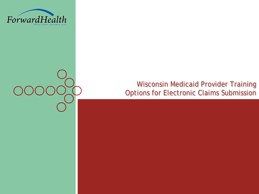

#### Wisconsin Medicaid Provider Training Options for Electronic Claims Submission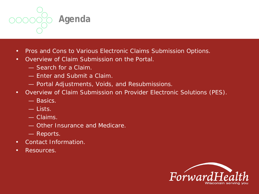

- Pros and Cons to Various Electronic Claims Submission Options.
- Overview of Claim Submission on the Portal.
	- Search for a Claim.
	- Enter and Submit a Claim.
	- Portal Adjustments, Voids, and Resubmissions.
- Overview of Claim Submission on Provider Electronic Solutions (PES).
	- Basics.
	- Lists.
	- Claims.
	- Other Insurance and Medicare.
	- Reports.
- Contact Information.
- Resources.

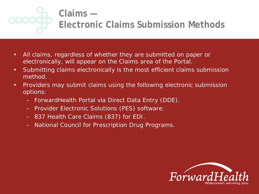

#### **Claims — Electronic Claims Submission Methods**

- All claims, regardless of whether they are submitted on paper or electronically, will appear on the Claims area of the Portal.
- Submitting claims electronically is the most efficient claims submission method.
- Providers may submit claims using the following electronic submission options:
	- ForwardHealth Portal via Direct Data Entry (DDE).
	- Provider Electronic Solutions (PES) software.
	- 837 Health Care Claims (837) for EDI.
	- National Council for Prescription Drug Programs.

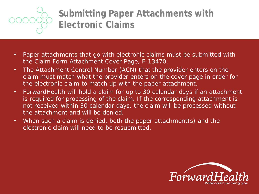

### **Submitting Paper Attachments with Electronic Claims**

- Paper attachments that go with electronic claims must be submitted with the Claim Form Attachment Cover Page, F-13470.
- The Attachment Control Number (ACN) that the provider enters on the claim must match what the provider enters on the cover page in order for the electronic claim to match up with the paper attachment.
- ForwardHealth will hold a claim for up to 30 calendar days if an attachment is required for processing of the claim. If the corresponding attachment is not received within 30 calendar days, the claim will be processed without the attachment and will be denied.
- When such a claim is denied, both the paper attachment(s) and the electronic claim will need to be resubmitted.

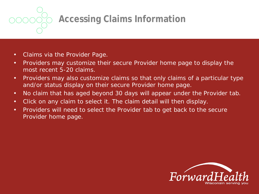**Accessing Claims Information**

- Claims via the Provider Page.
- Providers may customize their secure Provider home page to display the most recent 5-20 claims.
- Providers may also customize claims so that only claims of a particular type and/or status display on their secure Provider home page.
- No claim that has aged beyond 30 days will appear under the Provider tab.
- Click on any claim to select it. The claim detail will then display.
- Providers will need to select the Provider tab to get back to the secure Provider home page.

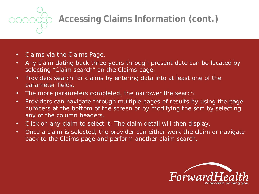## **Accessing Claims Information (cont.)**

- Claims via the Claims Page.
- Any claim dating back three years through present date can be located by selecting "Claim search" on the Claims page.
- Providers search for claims by entering data into at least one of the parameter fields.
- The more parameters completed, the narrower the search.
- Providers can navigate through multiple pages of results by using the page numbers at the bottom of the screen or by modifying the sort by selecting any of the column headers.
- Click on any claim to select it. The claim detail will then display.
- Once a claim is selected, the provider can either work the claim or navigate back to the Claims page and perform another claim search.

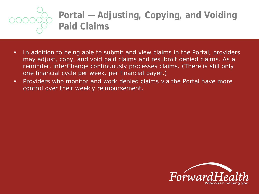

### **Portal — Adjusting, Copying, and Voiding Paid Claims**

- In addition to being able to submit and view claims in the Portal, providers may adjust, copy, and void paid claims and resubmit denied claims. As a reminder, interChange continuously processes claims. (There is still only one financial cycle per week, per financial payer.)
- Providers who monitor and work denied claims via the Portal have more control over their weekly reimbursement.

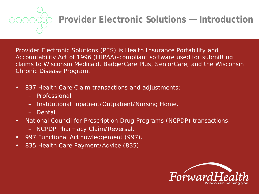## **Provider Electronic Solutions — Introduction**

Provider Electronic Solutions (PES) is Health Insurance Portability and Accountability Act of 1996 (HIPAA)-compliant software used for submitting claims to Wisconsin Medicaid, BadgerCare Plus, SeniorCare, and the Wisconsin Chronic Disease Program.

- 837 Health Care Claim transactions and adjustments:
	- Professional.
	- Institutional Inpatient/Outpatient/Nursing Home.
	- Dental.
- National Council for Prescription Drug Programs (NCPDP) transactions:
	- NCPDP Pharmacy Claim/Reversal.
- 997 Functional Acknowledgement (997).
- 835 Health Care Payment/Advice (835).

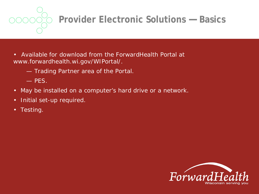**Provider Electronic Solutions — Basics**

- Available for download from the ForwardHealth Portal at *www.forwardhealth.wi.gov/WIPortal/*.
	- Trading Partner area of the Portal.
	- PES.
- May be installed on a computer's hard drive or a network.
- Initial set-up required.
- Testing.

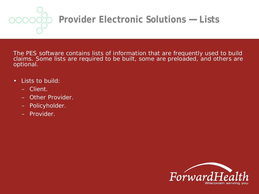

## **Provider Electronic Solutions — Lists**

The PES software contains lists of information that are frequently used to build claims. Some lists are required to be built, some are preloaded, and others are optional.

- Lists to build:
	- Client.
	- Other Provider.
	- Policyholder.
	- Provider.

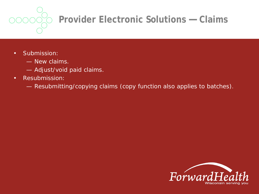

# **Provider Electronic Solutions — Claims**

- Submission:
	- New claims.
	- Adjust/void paid claims.
- Resubmission:
	- Resubmitting/copying claims (copy function also applies to batches).

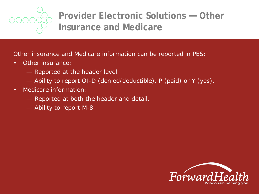

### **Provider Electronic Solutions — Other Insurance and Medicare**

Other insurance and Medicare information can be reported in PES:

- Other insurance:
	- Reported at the header level.
	- Ability to report OI-D (denied/deductible), P (paid) or Y (yes).
- Medicare information:
	- Reported at both the header and detail.
	- Ability to report M-8.

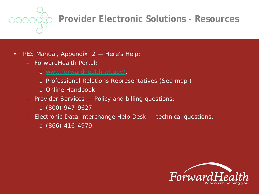**Provider Electronic Solutions - Resources**

- PES Manual, Appendix 2 Here's Help:
	- ForwardHealth Portal:
		- o *[www.forwardhealth.wi.gov/.](http://www.forwardhealth.wi.gov/)*
		- o Professional Relations Representatives (See map.)
		- o Online Handbook
	- Provider Services Policy and billing questions:
		- o (800) 947-9627.
	- Electronic Data Interchange Help Desk technical questions:
		- o (866) 416-4979.